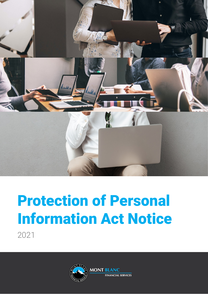

# Protection of Personal Information Act Notice 2021

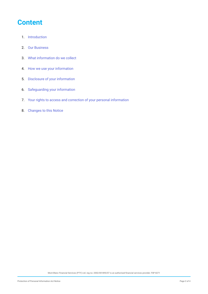#### **Content**

- 1. Introduction
- 2. [Our Business](#page-2-0)
- 3. [What information do we collect](#page-2-0)
- 4. [How we use your information](#page-2-0)
- 5. [Disclosure of your information](#page-3-0)
- 6. [Safeguarding your information](#page-3-0)
- 7. [Your rights to access and correction of your personal information](#page-3-0)
- 8. [Changes to this Notice](#page-3-0)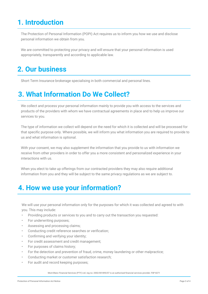## <span id="page-2-0"></span>**1. Introduction**

The Protection of Personal Information (POPI) Act requires us to inform you how we use and disclose personal information we obtain from you.

We are committed to protecting your privacy and will ensure that your personal information is used appropriately, transparently and according to applicable law.

# **2. Our business**

Short Term Insurance brokerage specialising in both commercial and personal lines.

## **3. What Information Do We Collect?**

We collect and process your personal information mainly to provide you with access to the services and products of the providers with whom we have contractual agreements in place and to help us improve our services to you.

The type of information we collect will depend on the need for which it is collected and will be processed for that specific purpose only. Where possible, we will inform you what information you are required to provide to us and what information is optional.

With your consent, we may also supplement the information that you provide to us with information we receive from other providers in order to offer you a more consistent and personalized experience in your interactions with us.

When you elect to take up offerings from our contracted providers they may also require additional information from you and they will be subject to the same privacy regulations as we are subject to.

#### **4. How we use your information?**

We will use your personal information only for the purposes for which it was collected and agreed to with you. This may include:

- Providing products or services to you and to carry out the transaction you requested:
- For underwriting purposes;
- Assessing and processing claims;
- Conducting credit reference searches or verification;
- Confirming and verifying your identity;
- For credit assessment and credit management;
- For purposes of claims history;
- For the detection and prevention of fraud, crime, money laundering or other malpractice;
- Conducting market or customer satisfaction research;
- For audit and record keeping purposes;

Mont Blanc Financial Services (PTY) Ltd. reg no: 2002/001890/07 is an authorised financial services provider. FSP 8271